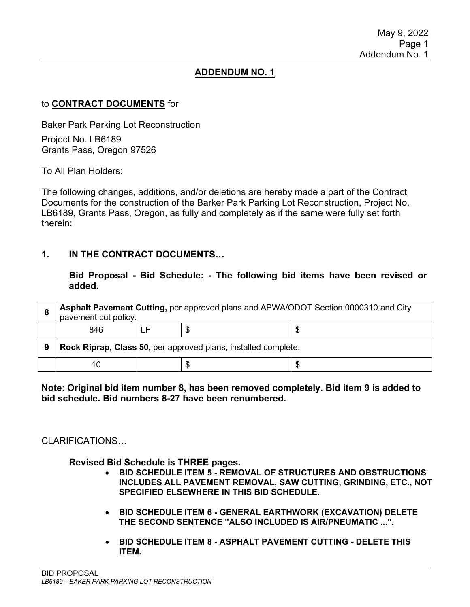# **ADDENDUM NO. 1**

## to **CONTRACT DOCUMENTS** for

Baker Park Parking Lot Reconstruction Project No. LB6189 Grants Pass, Oregon 97526

To All Plan Holders:

The following changes, additions, and/or deletions are hereby made a part of the Contract Documents for the construction of the Barker Park Parking Lot Reconstruction, Project No. LB6189, Grants Pass, Oregon, as fully and completely as if the same were fully set forth therein:

## **1. IN THE CONTRACT DOCUMENTS…**

#### **Bid Proposal - Bid Schedule: - The following bid items have been revised or added.**

| 8 | Asphalt Pavement Cutting, per approved plans and APWA/ODOT Section 0000310 and City<br>pavement cut policy. |  |   |  |  |
|---|-------------------------------------------------------------------------------------------------------------|--|---|--|--|
|   | 846                                                                                                         |  | S |  |  |
| 9 | Rock Riprap, Class 50, per approved plans, installed complete.                                              |  |   |  |  |
|   | 10                                                                                                          |  |   |  |  |

#### **Note: Original bid item number 8, has been removed completely. Bid item 9 is added to bid schedule. Bid numbers 8-27 have been renumbered.**

## CLARIFICATIONS…

## **Revised Bid Schedule is THREE pages.**

- **BID SCHEDULE ITEM 5 - REMOVAL OF STRUCTURES AND OBSTRUCTIONS INCLUDES ALL PAVEMENT REMOVAL, SAW CUTTING, GRINDING, ETC., NOT SPECIFIED ELSEWHERE IN THIS BID SCHEDULE.**
- **BID SCHEDULE ITEM 6 - GENERAL EARTHWORK (EXCAVATION) DELETE THE SECOND SENTENCE "ALSO INCLUDED IS AIR/PNEUMATIC ...".**
- **BID SCHEDULE ITEM 8 - ASPHALT PAVEMENT CUTTING - DELETE THIS ITEM.**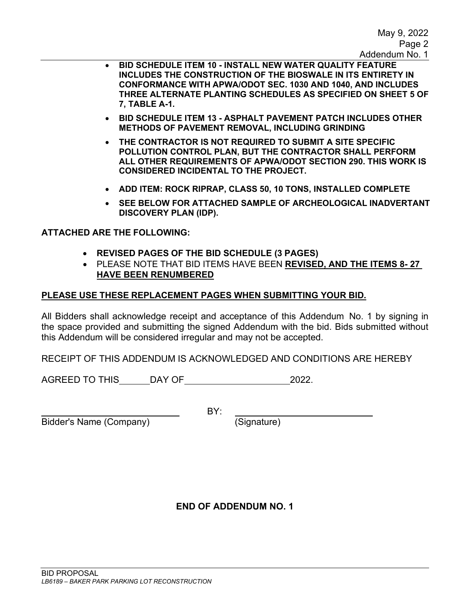- **BID SCHEDULE ITEM 10 - INSTALL NEW WATER QUALITY FEATURE INCLUDES THE CONSTRUCTION OF THE BIOSWALE IN ITS ENTIRETY IN CONFORMANCE WITH APWA/ODOT SEC. 1030 AND 1040, AND INCLUDES THREE ALTERNATE PLANTING SCHEDULES AS SPECIFIED ON SHEET 5 OF 7, TABLE A-1.**
- **BID SCHEDULE ITEM 13 - ASPHALT PAVEMENT PATCH INCLUDES OTHER METHODS OF PAVEMENT REMOVAL, INCLUDING GRINDING**
- **THE CONTRACTOR IS NOT REQUIRED TO SUBMIT A SITE SPECIFIC POLLUTION CONTROL PLAN, BUT THE CONTRACTOR SHALL PERFORM ALL OTHER REQUIREMENTS OF APWA/ODOT SECTION 290. THIS WORK IS CONSIDERED INCIDENTAL TO THE PROJECT.**
- **ADD ITEM: ROCK RIPRAP, CLASS 50, 10 TONS, INSTALLED COMPLETE**
- **SEE BELOW FOR ATTACHED SAMPLE OF ARCHEOLOGICAL INADVERTANT DISCOVERY PLAN (IDP).**

**ATTACHED ARE THE FOLLOWING:**

- **REVISED PAGES OF THE BID SCHEDULE (3 PAGES)**
- PLEASE NOTE THAT BID ITEMS HAVE BEEN **REVISED, AND THE ITEMS 8- 27 HAVE BEEN RENUMBERED**

# **PLEASE USE THESE REPLACEMENT PAGES WHEN SUBMITTING YOUR BID.**

All Bidders shall acknowledge receipt and acceptance of this Addendum No. 1 by signing in the space provided and submitting the signed Addendum with the bid. Bids submitted without this Addendum will be considered irregular and may not be accepted.

RECEIPT OF THIS ADDENDUM IS ACKNOWLEDGED AND CONDITIONS ARE HEREBY

AGREED TO THIS DAY OF 2022.

BY:

Bidder's Name (Company) (Signature)

# **END OF ADDENDUM NO. 1**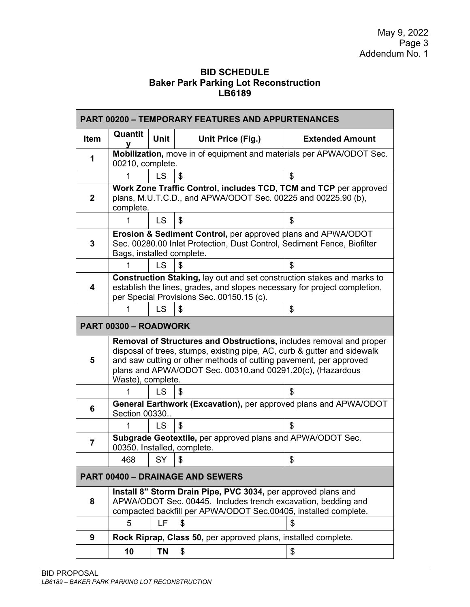# **BID SCHEDULE Baker Park Parking Lot Reconstruction LB6189**

|              |                                                                                                                                                                                                                                                                                                          |           |                                                                                                                                                                                                   | <b>PART 00200 - TEMPORARY FEATURES AND APPURTENANCES</b> |  |  |  |  |  |
|--------------|----------------------------------------------------------------------------------------------------------------------------------------------------------------------------------------------------------------------------------------------------------------------------------------------------------|-----------|---------------------------------------------------------------------------------------------------------------------------------------------------------------------------------------------------|----------------------------------------------------------|--|--|--|--|--|
| <b>Item</b>  | Quantit                                                                                                                                                                                                                                                                                                  | Unit      | Unit Price (Fig.)                                                                                                                                                                                 | <b>Extended Amount</b>                                   |  |  |  |  |  |
| 1            | Mobilization, move in of equipment and materials per APWA/ODOT Sec.<br>00210, complete.                                                                                                                                                                                                                  |           |                                                                                                                                                                                                   |                                                          |  |  |  |  |  |
|              |                                                                                                                                                                                                                                                                                                          | LS        | \$                                                                                                                                                                                                | \$                                                       |  |  |  |  |  |
| $\mathbf{2}$ | Work Zone Traffic Control, includes TCD, TCM and TCP per approved<br>plans, M.U.T.C.D., and APWA/ODOT Sec. 00225 and 00225.90 (b),<br>complete.                                                                                                                                                          |           |                                                                                                                                                                                                   |                                                          |  |  |  |  |  |
|              | 1                                                                                                                                                                                                                                                                                                        | <b>LS</b> | \$                                                                                                                                                                                                | \$                                                       |  |  |  |  |  |
| 3            | <b>Erosion &amp; Sediment Control, per approved plans and APWA/ODOT</b><br>Sec. 00280.00 Inlet Protection, Dust Control, Sediment Fence, Biofilter<br>Bags, installed complete.                                                                                                                          |           |                                                                                                                                                                                                   |                                                          |  |  |  |  |  |
|              |                                                                                                                                                                                                                                                                                                          | LS        | \$                                                                                                                                                                                                | \$                                                       |  |  |  |  |  |
| 4            | Construction Staking, lay out and set construction stakes and marks to<br>establish the lines, grades, and slopes necessary for project completion,<br>per Special Provisions Sec. 00150.15 (c).                                                                                                         |           |                                                                                                                                                                                                   |                                                          |  |  |  |  |  |
|              | 1                                                                                                                                                                                                                                                                                                        | LS        | \$                                                                                                                                                                                                | \$                                                       |  |  |  |  |  |
|              | PART 00300 - ROADWORK                                                                                                                                                                                                                                                                                    |           |                                                                                                                                                                                                   |                                                          |  |  |  |  |  |
| 5            | Removal of Structures and Obstructions, includes removal and proper<br>disposal of trees, stumps, existing pipe, AC, curb & gutter and sidewalk<br>and saw cutting or other methods of cutting pavement, per approved<br>plans and APWA/ODOT Sec. 00310.and 00291.20(c), (Hazardous<br>Waste), complete. |           |                                                                                                                                                                                                   |                                                          |  |  |  |  |  |
|              |                                                                                                                                                                                                                                                                                                          |           |                                                                                                                                                                                                   |                                                          |  |  |  |  |  |
|              | 1                                                                                                                                                                                                                                                                                                        | LS        | \$                                                                                                                                                                                                | \$                                                       |  |  |  |  |  |
| 6            | Section 00330                                                                                                                                                                                                                                                                                            |           | General Earthwork (Excavation), per approved plans and APWA/ODOT                                                                                                                                  |                                                          |  |  |  |  |  |
|              | 1                                                                                                                                                                                                                                                                                                        | <b>LS</b> | \$                                                                                                                                                                                                | \$                                                       |  |  |  |  |  |
| 7            |                                                                                                                                                                                                                                                                                                          |           | Subgrade Geotextile, per approved plans and APWA/ODOT Sec.<br>00350. Installed, complete.                                                                                                         |                                                          |  |  |  |  |  |
|              | 468                                                                                                                                                                                                                                                                                                      | SY        | \$                                                                                                                                                                                                | \$                                                       |  |  |  |  |  |
|              |                                                                                                                                                                                                                                                                                                          |           | <b>PART 00400 - DRAINAGE AND SEWERS</b>                                                                                                                                                           |                                                          |  |  |  |  |  |
| 8            |                                                                                                                                                                                                                                                                                                          |           | Install 8" Storm Drain Pipe, PVC 3034, per approved plans and<br>APWA/ODOT Sec. 00445. Includes trench excavation, bedding and<br>compacted backfill per APWA/ODOT Sec.00405, installed complete. |                                                          |  |  |  |  |  |
|              | 5                                                                                                                                                                                                                                                                                                        | LF        | \$                                                                                                                                                                                                | \$                                                       |  |  |  |  |  |
| 9            |                                                                                                                                                                                                                                                                                                          |           | Rock Riprap, Class 50, per approved plans, installed complete.                                                                                                                                    |                                                          |  |  |  |  |  |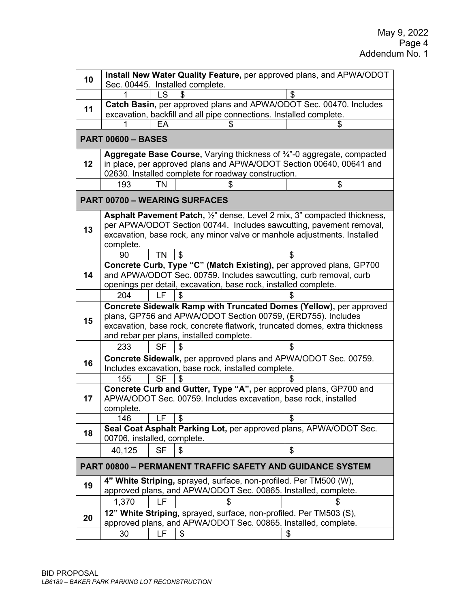| Install New Water Quality Feature, per approved plans, and APWA/ODOT<br>10 |                                                                                                                                                |           |                                                                            |    |  |  |  |
|----------------------------------------------------------------------------|------------------------------------------------------------------------------------------------------------------------------------------------|-----------|----------------------------------------------------------------------------|----|--|--|--|
|                                                                            |                                                                                                                                                |           | Sec. 00445. Installed complete.                                            |    |  |  |  |
|                                                                            |                                                                                                                                                | ı s       |                                                                            | S  |  |  |  |
| 11                                                                         | Catch Basin, per approved plans and APWA/ODOT Sec. 00470. Includes<br>excavation, backfill and all pipe connections. Installed complete.       |           |                                                                            |    |  |  |  |
|                                                                            |                                                                                                                                                |           |                                                                            |    |  |  |  |
|                                                                            | EА<br>\$<br>S                                                                                                                                  |           |                                                                            |    |  |  |  |
|                                                                            | <b>PART 00600 - BASES</b>                                                                                                                      |           |                                                                            |    |  |  |  |
| 12                                                                         | Aggregate Base Course, Varying thickness of 3/4"-0 aggregate, compacted<br>in place, per approved plans and APWA/ODOT Section 00640, 00641 and |           |                                                                            |    |  |  |  |
|                                                                            |                                                                                                                                                |           | 02630. Installed complete for roadway construction.                        |    |  |  |  |
|                                                                            | 193                                                                                                                                            | <b>TN</b> |                                                                            | \$ |  |  |  |
|                                                                            |                                                                                                                                                |           |                                                                            |    |  |  |  |
| <b>PART 00700 - WEARING SURFACES</b>                                       |                                                                                                                                                |           |                                                                            |    |  |  |  |
|                                                                            |                                                                                                                                                |           | Asphalt Pavement Patch, 1/2" dense, Level 2 mix, 3" compacted thickness,   |    |  |  |  |
| 13                                                                         |                                                                                                                                                |           | per APWA/ODOT Section 00744. Includes sawcutting, pavement removal,        |    |  |  |  |
|                                                                            | complete.                                                                                                                                      |           | excavation, base rock, any minor valve or manhole adjustments. Installed   |    |  |  |  |
|                                                                            | 90                                                                                                                                             | <b>TN</b> | \$                                                                         | \$ |  |  |  |
|                                                                            |                                                                                                                                                |           | Concrete Curb, Type "C" (Match Existing), per approved plans, GP700        |    |  |  |  |
| 14                                                                         |                                                                                                                                                |           | and APWA/ODOT Sec. 00759. Includes sawcutting, curb removal, curb          |    |  |  |  |
|                                                                            |                                                                                                                                                |           | openings per detail, excavation, base rock, installed complete.            |    |  |  |  |
|                                                                            | 204                                                                                                                                            | LF        |                                                                            |    |  |  |  |
|                                                                            |                                                                                                                                                |           | Concrete Sidewalk Ramp with Truncated Domes (Yellow), per approved         |    |  |  |  |
| 15                                                                         |                                                                                                                                                |           | plans, GP756 and APWA/ODOT Section 00759, (ERD755). Includes               |    |  |  |  |
|                                                                            |                                                                                                                                                |           | excavation, base rock, concrete flatwork, truncated domes, extra thickness |    |  |  |  |
|                                                                            |                                                                                                                                                |           | and rebar per plans, installed complete.                                   |    |  |  |  |
|                                                                            | 233                                                                                                                                            | <b>SF</b> | \$                                                                         | \$ |  |  |  |
| 16                                                                         |                                                                                                                                                |           | <b>Concrete Sidewalk, per approved plans and APWA/ODOT Sec. 00759.</b>     |    |  |  |  |
|                                                                            | Includes excavation, base rock, installed complete.                                                                                            |           |                                                                            |    |  |  |  |
|                                                                            | 155                                                                                                                                            | <b>SF</b> | \$                                                                         | \$ |  |  |  |
|                                                                            | Concrete Curb and Gutter, Type "A", per approved plans, GP700 and                                                                              |           |                                                                            |    |  |  |  |
| 17                                                                         |                                                                                                                                                |           | APWA/ODOT Sec. 00759. Includes excavation, base rock, installed            |    |  |  |  |
|                                                                            | complete.                                                                                                                                      |           |                                                                            |    |  |  |  |
|                                                                            | 146                                                                                                                                            | LF        | \$                                                                         | \$ |  |  |  |
| 18                                                                         | Seal Coat Asphalt Parking Lot, per approved plans, APWA/ODOT Sec.<br>00706, installed, complete.                                               |           |                                                                            |    |  |  |  |
|                                                                            | 40,125                                                                                                                                         | <b>SF</b> | \$                                                                         | \$ |  |  |  |
|                                                                            |                                                                                                                                                |           | <b>PART 00800 - PERMANENT TRAFFIC SAFETY AND GUIDANCE SYSTEM</b>           |    |  |  |  |
|                                                                            |                                                                                                                                                |           | 4" White Striping, sprayed, surface, non-profiled. Per TM500 (W),          |    |  |  |  |
| 19                                                                         |                                                                                                                                                |           | approved plans, and APWA/ODOT Sec. 00865. Installed, complete.             |    |  |  |  |
|                                                                            | 1,370                                                                                                                                          | LF        |                                                                            |    |  |  |  |
|                                                                            |                                                                                                                                                |           | 12" White Striping, sprayed, surface, non-profiled. Per TM503 (S),         |    |  |  |  |
| 20                                                                         | approved plans, and APWA/ODOT Sec. 00865. Installed, complete.                                                                                 |           |                                                                            |    |  |  |  |
|                                                                            | 30                                                                                                                                             | LF        | \$                                                                         | \$ |  |  |  |